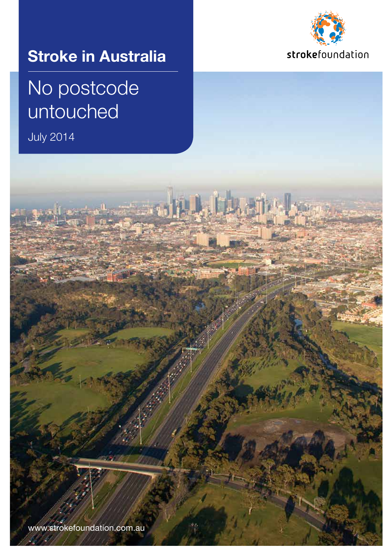

## **Stroke in Australia**

## No postcode untouched

July 2014

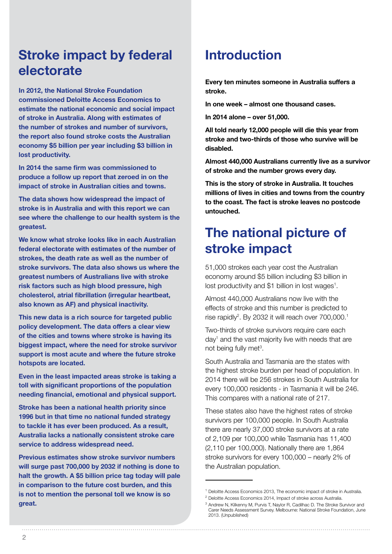## **Stroke impact by federal electorate**

**In 2012, the National Stroke Foundation commissioned Deloitte Access Economics to estimate the national economic and social impact of stroke in Australia. Along with estimates of the number of strokes and number of survivors, the report also found stroke costs the Australian economy \$5 billion per year including \$3 billion in lost productivity.** 

**In 2014 the same firm was commissioned to produce a follow up report that zeroed in on the impact of stroke in Australian cities and towns.** 

**The data shows how widespread the impact of stroke is in Australia and with this report we can see where the challenge to our health system is the greatest.** 

**We know what stroke looks like in each Australian federal electorate with estimates of the number of strokes, the death rate as well as the number of stroke survivors. The data also shows us where the greatest numbers of Australians live with stroke risk factors such as high blood pressure, high cholesterol, atrial fibrillation (irregular heartbeat, also known as AF) and physical inactivity.** 

**This new data is a rich source for targeted public policy development. The data offers a clear view of the cities and towns where stroke is having its biggest impact, where the need for stroke survivor support is most acute and where the future stroke hotspots are located.** 

**Even in the least impacted areas stroke is taking a toll with significant proportions of the population needing financial, emotional and physical support.** 

**Stroke has been a national health priority since 1996 but in that time no national funded strategy to tackle it has ever been produced. As a result, Australia lacks a nationally consistent stroke care service to address widespread need.** 

**Previous estimates show stroke survivor numbers will surge past 700,000 by 2032 if nothing is done to halt the growth. A \$5 billion price tag today will pale in comparison to the future cost burden, and this is not to mention the personal toll we know is so great.**

## **Introduction**

**Every ten minutes someone in Australia suffers a stroke.**

**In one week – almost one thousand cases.**

**In 2014 alone – over 51,000.** 

**All told nearly 12,000 people will die this year from stroke and two-thirds of those who survive will be disabled.** 

**Almost 440,000 Australians currently live as a survivor of stroke and the number grows every day.** 

**This is the story of stroke in Australia. It touches millions of lives in cities and towns from the country to the coast. The fact is stroke leaves no postcode untouched.** 

## **The national picture of stroke impact**

51,000 strokes each year cost the Australian economy around \$5 billion including \$3 billion in lost productivity and \$1 billion in lost wages<sup>1</sup>.

Almost 440,000 Australians now live with the effects of stroke and this number is predicted to rise rapidly<sup>2</sup>. By 2032 it will reach over 700,000.<sup>1</sup>

Two-thirds of stroke survivors require care each day<sup>1</sup> and the vast majority live with needs that are not being fully met<sup>3</sup>.

South Australia and Tasmania are the states with the highest stroke burden per head of population. In 2014 there will be 256 strokes in South Australia for every 100,000 residents - in Tasmania it will be 246. This compares with a national rate of 217.

These states also have the highest rates of stroke survivors per 100,000 people. In South Australia there are nearly 37,000 stroke survivors at a rate of 2,109 per 100,000 while Tasmania has 11,400 (2,110 per 100,000). Nationally there are 1,864 stroke survivors for every 100,000 – nearly 2% of the Australian population.

<sup>1</sup> Deloitte Access Economics 2013, The economic impact of stroke in Australia.

<sup>2</sup> Deloitte Access Economics 2014, Impact of stroke across Australia.

<sup>&</sup>lt;sup>3</sup> Andrew N, Kilkenny M, Purvis T, Naylor R, Cadilhac D. The Stroke Survivor and Carer Needs Assessment Survey. Melbourne: National Stroke Foundation, June 2013. (Unpublished)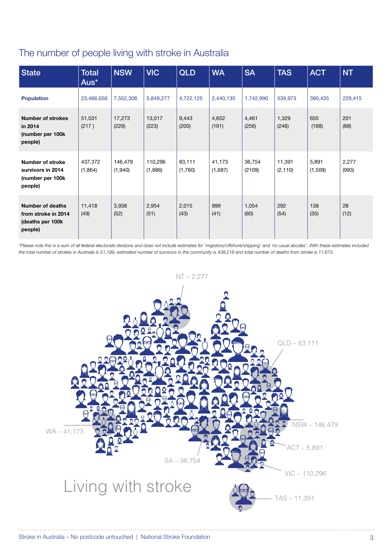#### The number of people living with stroke in Australia

| <b>State</b>                                                                  | <b>Total</b><br>Aus* | <b>NSW</b>         | <b>VIC</b>         | <b>QLD</b>        | <b>WA</b>         | <b>SA</b>        | <b>TAS</b>         | <b>ACT</b>       | <b>NT</b>      |
|-------------------------------------------------------------------------------|----------------------|--------------------|--------------------|-------------------|-------------------|------------------|--------------------|------------------|----------------|
| <b>Population</b>                                                             | 23,466,656           | 7,552,306          | 5,849,277          | 4,722,125         | 2,440,135         | 1,742,990        | 539,973            | 390,435          | 229,415        |
| <b>Number of strokes</b><br>in 2014<br>(number per 100k<br>people)            | 51,031<br>(217)      | 17,273<br>(229)    | 13,017<br>(223)    | 9,443<br>(200)    | 4,652<br>(191)    | 4,461<br>(256)   | 1,329<br>(246)     | 655<br>(168)     | 201<br>(88)    |
| <b>Number of stroke</b><br>survivors in 2014<br>(number per 100k<br>people)   | 437,372<br>(1,864)   | 146,479<br>(1,940) | 110,296<br>(1,886) | 83,111<br>(1,760) | 41,173<br>(1,687) | 36,754<br>(2109) | 11,391<br>(2, 110) | 5,891<br>(1,509) | 2,277<br>(993) |
| <b>Number of deaths</b><br>from stroke in 2014<br>(deaths per 100k<br>people) | 11,418<br>(49)       | 3,938<br>(52)      | 2,954<br>(51)      | 2,015<br>(43)     | 999<br>(41)       | 1,054<br>(60)    | 292<br>(54)        | 138<br>(35)      | 28<br>(12)     |

*\*Please note this is a sum of all federal electorate divisions and does not include estimates for 'migratory/offshore/shipping' and 'no usual abodes'. With these estimates included the total number of strokes in Australia is 51,199, estimated number of survivors in the community is 438,216 and total number of deaths from stroke is 11,673.*

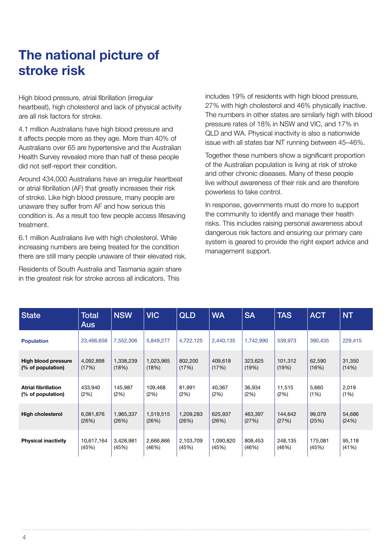## **The national picture of stroke risk**

High blood pressure, atrial fibrillation (irregular heartbeat), high cholesterol and lack of physical activity are all risk factors for stroke.

4.1 million Australians have high blood pressure and it affects people more as they age. More than 40% of Australians over 65 are hypertensive and the Australian Health Survey revealed more than half of these people did not self-report their condition.

Around 434,000 Australians have an irregular heartbeat or atrial fibrillation (AF) that greatly increases their risk of stroke. Like high blood pressure, many people are unaware they suffer from AF and how serious this condition is. As a result too few people access lifesaving treatment.

6.1 million Australians live with high cholesterol. While increasing numbers are being treated for the condition there are still many people unaware of their elevated risk.

Residents of South Australia and Tasmania again share in the greatest risk for stroke across all indicators. This

includes 19% of residents with high blood pressure, 27% with high cholesterol and 46% physically inactive. The numbers in other states are similarly high with blood pressure rates of 18% in NSW and VIC, and 17% in QLD and WA. Physical inactivity is also a nationwide issue with all states bar NT running between 45–46%.

Together these numbers show a significant proportion of the Australian population is living at risk of stroke and other chronic diseases. Many of these people live without awareness of their risk and are therefore powerless to take control.

In response, governments must do more to support the community to identify and manage their health risks. This includes raising personal awareness about dangerous risk factors and ensuring our primary care system is geared to provide the right expert advice and management support.

| <b>State</b>               | <b>Total</b><br><b>Aus</b> | <b>NSW</b> | <b>VIC</b> | <b>QLD</b> | <b>WA</b> | <b>SA</b> | <b>TAS</b> | <b>ACT</b> | NT.     |
|----------------------------|----------------------------|------------|------------|------------|-----------|-----------|------------|------------|---------|
| <b>Population</b>          | 23,466,656                 | 7,552,306  | 5,849,277  | 4,722,125  | 2,440,135 | 1,742,990 | 539,973    | 390,435    | 229,415 |
| <b>High blood pressure</b> | 4,092,898                  | 1,338,239  | 1,023,965  | 802,200    | 409,618   | 323,625   | 101,312    | 62,590     | 31,350  |
| (% of population)          | (17%)                      | (18%)      | (18%)      | (17%)      | (17%)     | (19%)     | (19%)      | (16%)      | (14%)   |
| <b>Atrial fibrillation</b> | 433,940                    | 145,987    | 109.468    | 81.991     | 40,367    | 36,934    | 11,515     | 5,660      | 2,019   |
| (% of population)          | (2%)                       | (2%)       | (2%)       | (2%)       | (2%)      | (2%)      | (2%)       | (1%)       | (1%)    |
| <b>High cholesterol</b>    | 6,081,876                  | 1,965,337  | 1,519,515  | 1,209,283  | 625,937   | 463,397   | 144,642    | 99,079     | 54,686  |
|                            | (26%)                      | (26%)      | (26%)      | (26%)      | (26%)     | (27%)     | (27%)      | (25%)      | (24%)   |
| <b>Physical inactivity</b> | 10,617,164                 | 3,428,981  | 2,666,866  | 2,103,709  | 1,090,820 | 808,453   | 248,135    | 175,081    | 95,118  |
|                            | (45%)                      | (45%)      | (46%)      | (45%)      | (45%)     | (46%)     | (46%)      | (45%)      | (41%)   |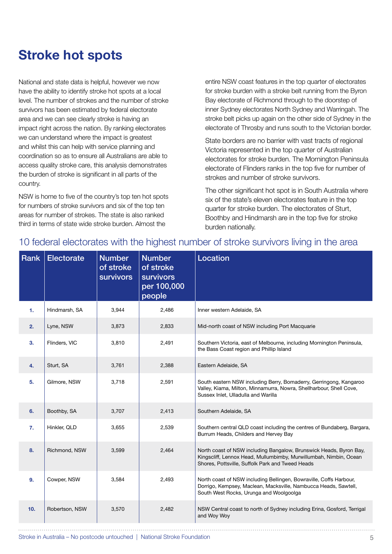## **Stroke hot spots**

National and state data is helpful, however we now have the ability to identify stroke hot spots at a local level. The number of strokes and the number of stroke survivors has been estimated by federal electorate area and we can see clearly stroke is having an impact right across the nation. By ranking electorates we can understand where the impact is greatest and whilst this can help with service planning and coordination so as to ensure all Australians are able to access quality stroke care, this analysis demonstrates the burden of stroke is significant in all parts of the country.

NSW is home to five of the country's top ten hot spots for numbers of stroke survivors and six of the top ten areas for number of strokes. The state is also ranked third in terms of state wide stroke burden. Almost the

entire NSW coast features in the top quarter of electorates for stroke burden with a stroke belt running from the Byron Bay electorate of Richmond through to the doorstep of inner Sydney electorates North Sydney and Warringah. The stroke belt picks up again on the other side of Sydney in the electorate of Throsby and runs south to the Victorian border.

State borders are no barrier with vast tracts of regional Victoria represented in the top quarter of Australian electorates for stroke burden. The Mornington Peninsula electorate of Flinders ranks in the top five for number of strokes and number of stroke survivors.

The other significant hot spot is in South Australia where six of the state's eleven electorates feature in the top quarter for stroke burden. The electorates of Sturt, Boothby and Hindmarsh are in the top five for stroke burden nationally.

| Rank | <b>Electorate</b> | <b>Number</b><br>of stroke<br><b>survivors</b> | <b>Number</b><br>of stroke<br><b>survivors</b><br>per 100,000<br>people | Location                                                                                                                                                                                    |
|------|-------------------|------------------------------------------------|-------------------------------------------------------------------------|---------------------------------------------------------------------------------------------------------------------------------------------------------------------------------------------|
| 1.   | Hindmarsh, SA     | 3,944                                          | 2,486                                                                   | Inner western Adelaide, SA                                                                                                                                                                  |
| 2.   | Lyne, NSW         | 3,873                                          | 2,833                                                                   | Mid-north coast of NSW including Port Macquarie                                                                                                                                             |
| 3.   | Flinders, VIC     | 3,810                                          | 2,491                                                                   | Southern Victoria, east of Melbourne, including Mornington Peninsula,<br>the Bass Coast region and Phillip Island                                                                           |
| 4.   | Sturt, SA         | 3,761                                          | 2,388                                                                   | Eastern Adelaide, SA                                                                                                                                                                        |
| 5.   | Gilmore, NSW      | 3,718                                          | 2,591                                                                   | South eastern NSW including Berry, Bomaderry, Gerringong, Kangaroo<br>Valley, Kiama, Milton, Minnamurra, Nowra, Shellharbour, Shell Cove,<br>Sussex Inlet. Ulladulla and Warilla            |
| 6.   | Boothby, SA       | 3,707                                          | 2,413                                                                   | Southern Adelaide, SA                                                                                                                                                                       |
| 7.   | Hinkler, QLD      | 3,655                                          | 2,539                                                                   | Southern central QLD coast including the centres of Bundaberg, Bargara,<br>Burrum Heads, Childers and Hervey Bay                                                                            |
| 8.   | Richmond, NSW     | 3,599                                          | 2,464                                                                   | North coast of NSW including Bangalow, Brunswick Heads, Byron Bay,<br>Kingscliff, Lennox Head, Mullumbimby, Murwillumbah, Nimbin, Ocean<br>Shores, Pottsville, Suffolk Park and Tweed Heads |
| 9.   | Cowper, NSW       | 3,584                                          | 2,493                                                                   | North coast of NSW including Bellingen, Bowraville, Coffs Harbour,<br>Dorrigo, Kempsey, Maclean, Macksville, Nambucca Heads, Sawtell,<br>South West Rocks, Urunga and Woolgoolga            |
| 10.  | Robertson, NSW    | 3,570                                          | 2,482                                                                   | NSW Central coast to north of Sydney including Erina, Gosford, Terrigal<br>and Woy Woy                                                                                                      |

#### 10 federal electorates with the highest number of stroke survivors living in the area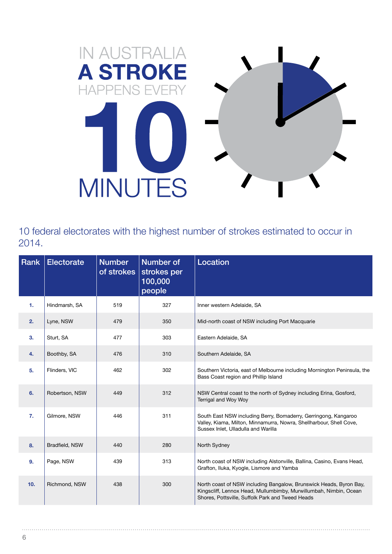

10 federal electorates with the highest number of strokes estimated to occur in 2014.

| Rank | <b>Electorate</b> | <b>Number</b><br>of strokes | Number of<br>strokes per<br>100,000<br>people | Location                                                                                                                                                                                    |
|------|-------------------|-----------------------------|-----------------------------------------------|---------------------------------------------------------------------------------------------------------------------------------------------------------------------------------------------|
| 1.   | Hindmarsh, SA     | 519                         | 327                                           | Inner western Adelaide, SA                                                                                                                                                                  |
| 2.   | Lyne, NSW         | 479                         | 350                                           | Mid-north coast of NSW including Port Macquarie                                                                                                                                             |
| 3.   | Sturt, SA         | 477                         | 303                                           | Eastern Adelaide, SA                                                                                                                                                                        |
| 4.   | Boothby, SA       | 476                         | 310                                           | Southern Adelaide, SA                                                                                                                                                                       |
| 5.   | Flinders, VIC     | 462                         | 302                                           | Southern Victoria, east of Melbourne including Mornington Peninsula, the<br>Bass Coast region and Phillip Island                                                                            |
| 6.   | Robertson, NSW    | 449                         | 312                                           | NSW Central coast to the north of Sydney including Erina, Gosford,<br>Terrigal and Woy Woy                                                                                                  |
| 7.   | Gilmore, NSW      | 446                         | 311                                           | South East NSW including Berry, Bomaderry, Gerringong, Kangaroo<br>Valley, Kiama, Milton, Minnamurra, Nowra, Shellharbour, Shell Cove,<br>Sussex Inlet, Ulladulla and Warilla               |
| 8.   | Bradfield, NSW    | 440                         | 280                                           | North Sydney                                                                                                                                                                                |
| 9.   | Page, NSW         | 439                         | 313                                           | North coast of NSW including Alstonville, Ballina, Casino, Evans Head,<br>Grafton, Iluka, Kyogle, Lismore and Yamba                                                                         |
| 10.  | Richmond, NSW     | 438                         | 300                                           | North coast of NSW including Bangalow, Brunswick Heads, Byron Bay,<br>Kingscliff, Lennox Head, Mullumbimby, Murwillumbah, Nimbin, Ocean<br>Shores, Pottsville, Suffolk Park and Tweed Heads |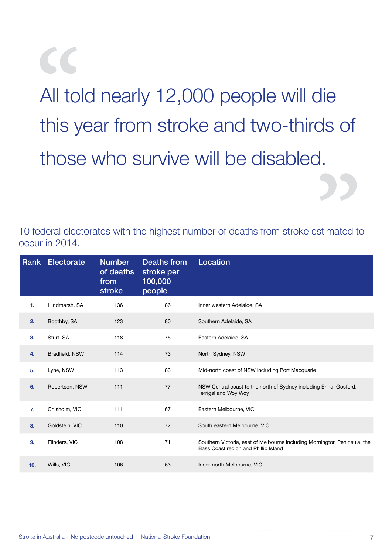All told nearly 12,000 people will die this year from stroke and two-thirds of those who survive will be disabled.

10 federal electorates with the highest number of deaths from stroke estimated to occur in 2014.

| Rank           | <b>Electorate</b> | <b>Number</b><br>of deaths<br>from<br>stroke | <b>Deaths from</b><br>stroke per<br>100,000<br>people | Location                                                                                                         |
|----------------|-------------------|----------------------------------------------|-------------------------------------------------------|------------------------------------------------------------------------------------------------------------------|
| $\mathbf{1}$ . | Hindmarsh, SA     | 136                                          | 86                                                    | Inner western Adelaide, SA                                                                                       |
| 2.             | Boothby, SA       | 123                                          | 80                                                    | Southern Adelaide, SA                                                                                            |
| 3 <sub>1</sub> | Sturt, SA         | 118                                          | 75                                                    | Eastern Adelaide, SA                                                                                             |
| 4.             | Bradfield, NSW    | 114                                          | 73                                                    | North Sydney, NSW                                                                                                |
| 5.             | Lyne, NSW         | 113                                          | 83                                                    | Mid-north coast of NSW including Port Macquarie                                                                  |
| 6.             | Robertson, NSW    | 111                                          | 77                                                    | NSW Central coast to the north of Sydney including Erina, Gosford,<br>Terrigal and Woy Woy                       |
| 7.             | Chisholm, VIC     | 111                                          | 67                                                    | Eastern Melbourne, VIC                                                                                           |
| 8.             | Goldstein, VIC    | 110                                          | 72                                                    | South eastern Melbourne, VIC                                                                                     |
| 9 <sub>1</sub> | Flinders, VIC     | 108                                          | 71                                                    | Southern Victoria, east of Melbourne including Mornington Peninsula, the<br>Bass Coast region and Phillip Island |
| 10.            | Wills, VIC        | 106                                          | 63                                                    | Inner-north Melbourne, VIC                                                                                       |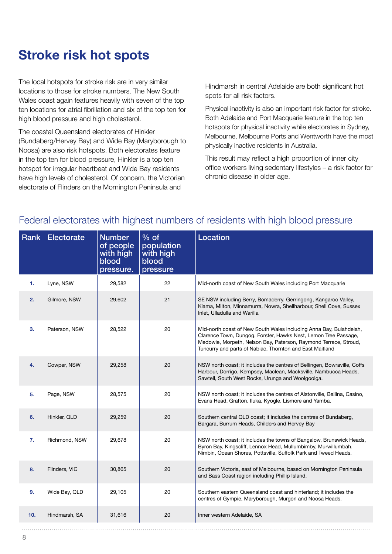## **Stroke risk hot spots**

The local hotspots for stroke risk are in very similar locations to those for stroke numbers. The New South Wales coast again features heavily with seven of the top ten locations for atrial fibrillation and six of the top ten for high blood pressure and high cholesterol.

The coastal Queensland electorates of Hinkler (Bundaberg/Hervey Bay) and Wide Bay (Maryborough to Noosa) are also risk hotspots. Both electorates feature in the top ten for blood pressure, Hinkler is a top ten hotspot for irregular heartbeat and Wide Bay residents have high levels of cholesterol. Of concern, the Victorian electorate of Flinders on the Mornington Peninsula and

Hindmarsh in central Adelaide are both significant hot spots for all risk factors.

Physical inactivity is also an important risk factor for stroke. Both Adelaide and Port Macquarie feature in the top ten hotspots for physical inactivity while electorates in Sydney, Melbourne, Melbourne Ports and Wentworth have the most physically inactive residents in Australia.

This result may reflect a high proportion of inner city office workers living sedentary lifestyles – a risk factor for chronic disease in older age.

| Rank | <b>Electorate</b> | <b>Number</b><br>of people<br>with high<br>blood<br>pressure. | $%$ of<br>population<br>with high<br>blood<br>pressure | Location                                                                                                                                                                                                                                                              |
|------|-------------------|---------------------------------------------------------------|--------------------------------------------------------|-----------------------------------------------------------------------------------------------------------------------------------------------------------------------------------------------------------------------------------------------------------------------|
| 1.   | Lyne, NSW         | 29,582                                                        | 22                                                     | Mid-north coast of New South Wales including Port Macquarie                                                                                                                                                                                                           |
| 2.   | Gilmore, NSW      | 29,602                                                        | 21                                                     | SE NSW including Berry, Bomaderry, Gerringong, Kangaroo Valley,<br>Kiama, Milton, Minnamurra, Nowra, Shellharbour, Shell Cove, Sussex<br>Inlet, Ulladulla and Warilla                                                                                                 |
| 3.   | Paterson, NSW     | 28,522                                                        | 20                                                     | Mid-north coast of New South Wales including Anna Bay, Bulahdelah,<br>Clarence Town, Dungog, Forster, Hawks Nest, Lemon Tree Passage,<br>Medowie, Morpeth, Nelson Bay, Paterson, Raymond Terrace, Stroud,<br>Tuncurry and parts of Nabiac, Thornton and East Maitland |
| 4.   | Cowper, NSW       | 29,258                                                        | 20                                                     | NSW north coast; it includes the centres of Bellingen, Bowraville, Coffs<br>Harbour, Dorrigo, Kempsey, Maclean, Macksville, Nambucca Heads,<br>Sawtell, South West Rocks, Urunga and Woolgoolga.                                                                      |
| 5.   | Page, NSW         | 28,575                                                        | 20                                                     | NSW north coast; it includes the centres of Alstonville, Ballina, Casino,<br>Evans Head, Grafton, Iluka, Kyogle, Lismore and Yamba.                                                                                                                                   |
| 6.   | Hinkler, QLD      | 29,259                                                        | 20                                                     | Southern central QLD coast; it includes the centres of Bundaberg,<br>Bargara, Burrum Heads, Childers and Hervey Bay                                                                                                                                                   |
| 7.   | Richmond, NSW     | 29,678                                                        | 20                                                     | NSW north coast; it includes the towns of Bangalow, Brunswick Heads,<br>Byron Bay, Kingscliff, Lennox Head, Mullumbimby, Murwillumbah,<br>Nimbin, Ocean Shores, Pottsville, Suffolk Park and Tweed Heads.                                                             |
| 8.   | Flinders, VIC     | 30,865                                                        | 20                                                     | Southern Victoria, east of Melbourne, based on Mornington Peninsula<br>and Bass Coast region including Phillip Island.                                                                                                                                                |
| 9.   | Wide Bay, QLD     | 29,105                                                        | 20                                                     | Southern eastern Queensland coast and hinterland; it includes the<br>centres of Gympie, Maryborough, Murgon and Noosa Heads.                                                                                                                                          |
| 10.  | Hindmarsh, SA     | 31,616                                                        | 20                                                     | Inner western Adelaide, SA                                                                                                                                                                                                                                            |

#### Federal electorates with highest numbers of residents with high blood pressure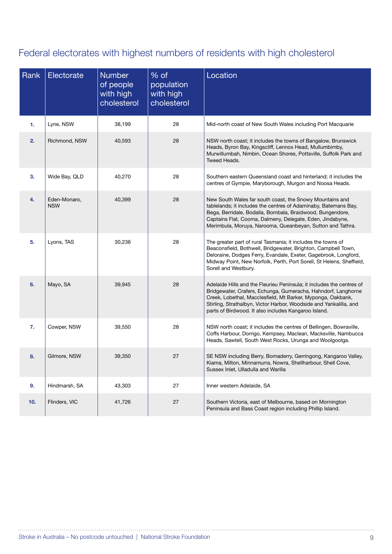### Federal electorates with highest numbers of residents with high cholesterol

| Rank | Electorate                 | <b>Number</b><br>of people<br>with high<br>cholesterol | % of<br>population<br>with high<br>cholesterol | Location                                                                                                                                                                                                                                                                                                                            |
|------|----------------------------|--------------------------------------------------------|------------------------------------------------|-------------------------------------------------------------------------------------------------------------------------------------------------------------------------------------------------------------------------------------------------------------------------------------------------------------------------------------|
| 1.   | Lyne, NSW                  | 38,199                                                 | 28                                             | Mid-north coast of New South Wales including Port Macquarie                                                                                                                                                                                                                                                                         |
| 2.   | Richmond, NSW              | 40,593                                                 | 28                                             | NSW north coast; it includes the towns of Bangalow, Brunswick<br>Heads, Byron Bay, Kingscliff, Lennox Head, Mullumbimby,<br>Murwillumbah, Nimbin, Ocean Shores, Pottsville, Suffolk Park and<br>Tweed Heads.                                                                                                                        |
| 3.   | Wide Bay, QLD              | 40,270                                                 | 28                                             | Southern eastern Queensland coast and hinterland; it includes the<br>centres of Gympie, Maryborough, Murgon and Noosa Heads.                                                                                                                                                                                                        |
| 4.   | Eden-Monaro,<br><b>NSW</b> | 40,399                                                 | 28                                             | New South Wales far south coast, the Snowy Mountains and<br>tablelands; it includes the centres of Adaminaby, Batemans Bay,<br>Bega, Berridale, Bodalla, Bombala, Braidwood, Bungendore,<br>Captains Flat, Cooma, Dalmeny, Delegate, Eden, Jindabyne,<br>Merimbula, Moruya, Narooma, Queanbeyan, Sutton and Tathra.                 |
| 5.   | Lyons, TAS                 | 30,236                                                 | 28                                             | The greater part of rural Tasmania; it includes the towns of<br>Beaconsfield, Bothwell, Bridgewater, Brighton, Campbell Town,<br>Deloraine, Dodges Ferry, Evandale, Exeter, Gagebrook, Longford,<br>Midway Point, New Norfolk, Perth, Port Sorell, St Helens, Sheffield,<br>Sorell and Westbury.                                    |
| 6.   | Mayo, SA                   | 39,945                                                 | 28                                             | Adelaide Hills and the Fleurieu Peninsula; it includes the centres of<br>Bridgewater, Crafers, Echunga, Gumeracha, Hahndorf, Langhorne<br>Creek, Lobethal, Macclesfield, Mt Barker, Myponga, Oakbank,<br>Stirling, Strathalbyn, Victor Harbor, Woodside and Yankalilla, and<br>parts of Birdwood. It also includes Kangaroo Island. |
| 7.   | Cowper, NSW                | 39,550                                                 | 28                                             | NSW north coast; it includes the centres of Bellingen, Bowraville,<br>Coffs Harbour, Dorrigo, Kempsey, Maclean, Macksville, Nambucca<br>Heads, Sawtell, South West Rocks, Urunga and Woolgoolga.                                                                                                                                    |
| 8.   | Gilmore, NSW               | 39,350                                                 | 27                                             | SE NSW including Berry, Bomaderry, Gerringong, Kangaroo Valley,<br>Kiama, Milton, Minnamurra, Nowra, Shellharbour, Shell Cove,<br>Sussex Inlet, Ulladulla and Warilla                                                                                                                                                               |
| 9.   | Hindmarsh, SA              | 43,303                                                 | 27                                             | Inner western Adelaide, SA                                                                                                                                                                                                                                                                                                          |
| 10.  | Flinders, VIC              | 41,726                                                 | 27                                             | Southern Victoria, east of Melbourne, based on Mornington<br>Peninsula and Bass Coast region including Phillip Island.                                                                                                                                                                                                              |

 $\ddotsc$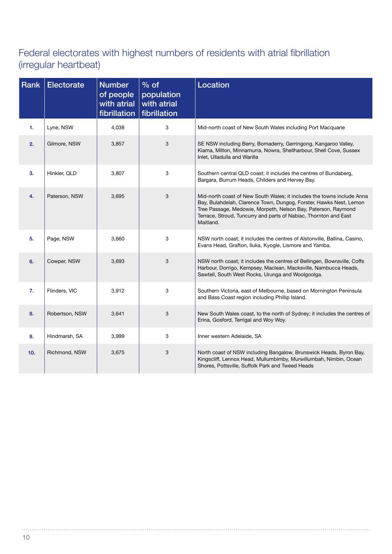#### Federal electorates with highest numbers of residents with atrial fibrillation (irregular heartbeat)

| <b>Rank</b> | <b>Electorate</b> | <b>Number</b><br>of people<br>with atrial<br>fibrillation | $%$ of<br>population<br>with atrial<br>fibrillation | Location                                                                                                                                                                                                                                                                                       |
|-------------|-------------------|-----------------------------------------------------------|-----------------------------------------------------|------------------------------------------------------------------------------------------------------------------------------------------------------------------------------------------------------------------------------------------------------------------------------------------------|
| 1.          | Lyne, NSW         | 4,038                                                     | 3                                                   | Mid-north coast of New South Wales including Port Macquarie                                                                                                                                                                                                                                    |
| 2.          | Gilmore, NSW      | 3,857                                                     | 3                                                   | SE NSW including Berry, Bomaderry, Gerringong, Kangaroo Valley,<br>Kiama, Milton, Minnamurra, Nowra, Shellharbour, Shell Cove, Sussex<br>Inlet, Ulladulla and Warilla                                                                                                                          |
| 3.          | Hinkler, QLD      | 3,807                                                     | 3                                                   | Southern central QLD coast; it includes the centres of Bundaberg,<br>Bargara, Burrum Heads, Childers and Hervey Bay.                                                                                                                                                                           |
| 4.          | Paterson, NSW     | 3,695                                                     | 3                                                   | Mid-north coast of New South Wales; it includes the towns include Anna<br>Bay, Bulahdelah, Clarence Town, Dungog, Forster, Hawks Nest, Lemon<br>Tree Passage, Medowie, Morpeth, Nelson Bay, Paterson, Raymond<br>Terrace, Stroud, Tuncurry and parts of Nabiac, Thornton and East<br>Maitland. |
| 5.          | Page, NSW         | 3,660                                                     | 3                                                   | NSW north coast; it includes the centres of Alstonville, Ballina, Casino,<br>Evans Head, Grafton, Iluka, Kyogle, Lismore and Yamba.                                                                                                                                                            |
| 6.          | Cowper, NSW       | 3,693                                                     | 3                                                   | NSW north coast; it includes the centres of Bellingen, Bowraville, Coffs<br>Harbour, Dorrigo, Kempsey, Maclean, Macksville, Nambucca Heads,<br>Sawtell, South West Rocks, Urunga and Woolgoolga.                                                                                               |
| 7.          | Flinders, VIC     | 3,912                                                     | 3                                                   | Southern Victoria, east of Melbourne, based on Mornington Peninsula<br>and Bass Coast region including Phillip Island.                                                                                                                                                                         |
| 8.          | Robertson, NSW    | 3,641                                                     | 3                                                   | New South Wales coast, to the north of Sydney; it includes the centres of<br>Erina, Gosford, Terrigal and Woy Woy.                                                                                                                                                                             |
| 9.          | Hindmarsh, SA     | 3,999                                                     | 3                                                   | Inner western Adelaide, SA                                                                                                                                                                                                                                                                     |
| 10.         | Richmond, NSW     | 3,675                                                     | 3                                                   | North coast of NSW including Bangalow, Brunswick Heads, Byron Bay,<br>Kingscliff, Lennox Head, Mullumbimby, Murwillumbah, Nimbin, Ocean<br>Shores, Pottsville, Suffolk Park and Tweed Heads                                                                                                    |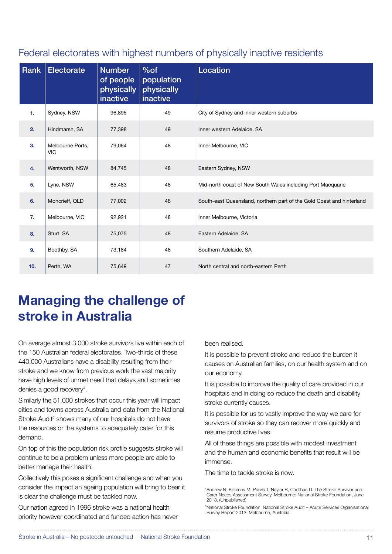#### Federal electorates with highest numbers of physically inactive residents

| Rank | <b>Electorate</b>              | <b>Number</b><br>of people<br>physically<br>inactive | $%$ of<br>population<br>physically<br>inactive | Location                                                              |
|------|--------------------------------|------------------------------------------------------|------------------------------------------------|-----------------------------------------------------------------------|
| 1.   | Sydney, NSW                    | 96,895                                               | 49                                             | City of Sydney and inner western suburbs                              |
| 2.   | Hindmarsh, SA                  | 77,398                                               | 49                                             | Inner western Adelaide, SA                                            |
| 3.   | Melbourne Ports,<br><b>VIC</b> | 79,064                                               | 48                                             | Inner Melbourne, VIC                                                  |
| 4.   | Wentworth, NSW                 | 84,745                                               | 48                                             | Eastern Sydney, NSW                                                   |
| 5.   | Lyne, NSW                      | 65,483                                               | 48                                             | Mid-north coast of New South Wales including Port Macquarie           |
| 6.   | Moncrieff, QLD                 | 77,002                                               | 48                                             | South-east Queensland, northern part of the Gold Coast and hinterland |
| 7.   | Melbourne, VIC                 | 92,921                                               | 48                                             | Inner Melbourne, Victoria                                             |
| 8.   | Sturt, SA                      | 75,075                                               | 48                                             | Eastern Adelaide, SA                                                  |
| 9.   | Boothby, SA                    | 73,184                                               | 48                                             | Southern Adelaide, SA                                                 |
| 10.  | Perth, WA                      | 75,649                                               | 47                                             | North central and north-eastern Perth                                 |

## **Managing the challenge of stroke in Australia**

On average almost 3,000 stroke survivors live within each of the 150 Australian federal electorates. Two-thirds of these 440,000 Australians have a disability resulting from their stroke and we know from previous work the vast majority have high levels of unmet need that delays and sometimes denies a good recovery<sup>4</sup>.

Similarly the 51,000 strokes that occur this year will impact cities and towns across Australia and data from the National Stroke Audit<sup>5</sup> shows many of our hospitals do not have the resources or the systems to adequately cater for this demand.

On top of this the population risk profile suggests stroke will continue to be a problem unless more people are able to better manage their health.

Collectively this poses a significant challenge and when you consider the impact an ageing population will bring to bear it is clear the challenge must be tackled now.

Our nation agreed in 1996 stroke was a national health priority however coordinated and funded action has never been realised.

It is possible to prevent stroke and reduce the burden it causes on Australian families, on our health system and on our economy.

It is possible to improve the quality of care provided in our hospitals and in doing so reduce the death and disability stroke currently causes.

It is possible for us to vastly improve the way we care for survivors of stroke so they can recover more quickly and resume productive lives.

All of these things are possible with modest investment and the human and economic benefits that result will be immense.

The time to tackle stroke is now.

4 Andrew N, Kilkenny M, Purvis T, Naylor R, Cadilhac D. The Stroke Survivor and Carer Needs Assessment Survey. Melbourne: National Stroke Foundation, June 2013. (Unpublished)

5 National Stroke Foundation. National Stroke Audit – Acute Services Organisational Survey Report 2013. Melbourne, Australia.